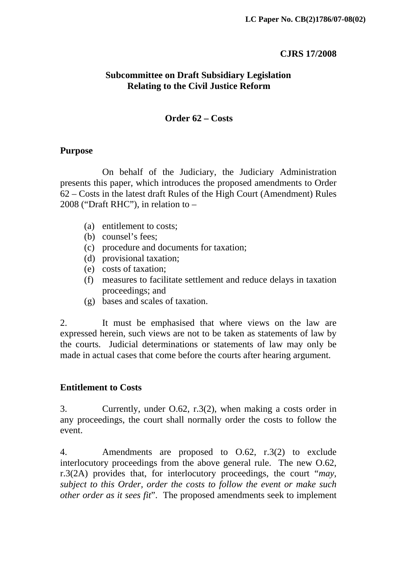#### **CJRS 17/2008**

### **Subcommittee on Draft Subsidiary Legislation Relating to the Civil Justice Reform**

### **Order 62 – Costs**

#### **Purpose**

 On behalf of the Judiciary, the Judiciary Administration presents this paper, which introduces the proposed amendments to Order 62 – Costs in the latest draft Rules of the High Court (Amendment) Rules 2008 ("Draft RHC"), in relation to –

- (a) entitlement to costs;
- (b) counsel's fees;
- (c) procedure and documents for taxation;
- (d) provisional taxation;
- (e) costs of taxation;
- (f) measures to facilitate settlement and reduce delays in taxation proceedings; and
- (g) bases and scales of taxation.

2. It must be emphasised that where views on the law are expressed herein, such views are not to be taken as statements of law by the courts. Judicial determinations or statements of law may only be made in actual cases that come before the courts after hearing argument.

#### **Entitlement to Costs**

3. Currently, under O.62, r.3(2), when making a costs order in any proceedings, the court shall normally order the costs to follow the event.

4. Amendments are proposed to O.62, r.3(2) to exclude interlocutory proceedings from the above general rule. The new O.62, r.3(2A) provides that, for interlocutory proceedings, the court "*may, subject to this Order, order the costs to follow the event or make such other order as it sees fit*". The proposed amendments seek to implement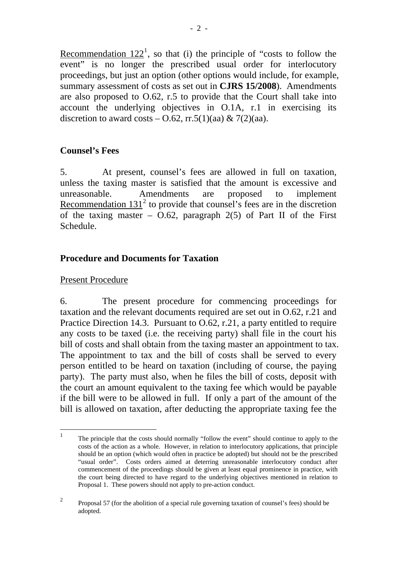Recommendation  $122<sup>1</sup>$  $122<sup>1</sup>$ , so that (i) the principle of "costs to follow the event" is no longer the prescribed usual order for interlocutory proceedings, but just an option (other options would include, for example, summary assessment of costs as set out in **CJRS 15/2008**). Amendments are also proposed to O.62, r.5 to provide that the Court shall take into account the underlying objectives in O.1A, r.1 in exercising its discretion to award costs – O.62, rr.5(1)(aa) & 7(2)(aa).

# **Counsel's Fees**

5. At present, counsel's fees are allowed in full on taxation, unless the taxing master is satisfied that the amount is excessive and unreasonable. Amendments are proposed to implement Recommendation  $131^2$  $131^2$  to provide that counsel's fees are in the discretion of the taxing master –  $0.62$ , paragraph  $2(5)$  of Part II of the First Schedule.

# **Procedure and Documents for Taxation**

## Present Procedure

6. The present procedure for commencing proceedings for taxation and the relevant documents required are set out in O.62, r.21 and Practice Direction 14.3. Pursuant to O.62, r.21, a party entitled to require any costs to be taxed (i.e. the receiving party) shall file in the court his bill of costs and shall obtain from the taxing master an appointment to tax. The appointment to tax and the bill of costs shall be served to every person entitled to be heard on taxation (including of course, the paying party). The party must also, when he files the bill of costs, deposit with the court an amount equivalent to the taxing fee which would be payable if the bill were to be allowed in full. If only a part of the amount of the bill is allowed on taxation, after deducting the appropriate taxing fee the

<span id="page-1-0"></span> $\frac{1}{1}$  The principle that the costs should normally "follow the event" should continue to apply to the costs of the action as a whole. However, in relation to interlocutory applications, that principle should be an option (which would often in practice be adopted) but should not be the prescribed "usual order". Costs orders aimed at deterring unreasonable interlocutory conduct after commencement of the proceedings should be given at least equal prominence in practice, with the court being directed to have regard to the underlying objectives mentioned in relation to Proposal 1. These powers should not apply to pre-action conduct.

<span id="page-1-1"></span><sup>2</sup> Proposal 57 (for the abolition of a special rule governing taxation of counsel's fees) should be adopted.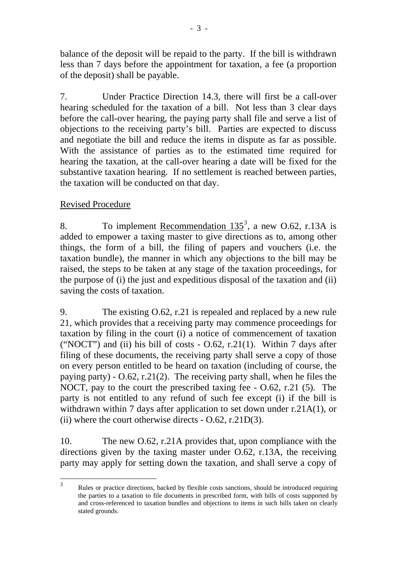balance of the deposit will be repaid to the party. If the bill is withdrawn less than 7 days before the appointment for taxation, a fee (a proportion of the deposit) shall be payable.

7. Under Practice Direction 14.3, there will first be a call-over hearing scheduled for the taxation of a bill. Not less than 3 clear days before the call-over hearing, the paying party shall file and serve a list of objections to the receiving party's bill. Parties are expected to discuss and negotiate the bill and reduce the items in dispute as far as possible. With the assistance of parties as to the estimated time required for hearing the taxation, at the call-over hearing a date will be fixed for the substantive taxation hearing. If no settlement is reached between parties, the taxation will be conducted on that day.

# Revised Procedure

8. To implement Recommendation  $135^3$  $135^3$  $135^3$ , a new O.62, r.13A is added to empower a taxing master to give directions as to, among other things, the form of a bill, the filing of papers and vouchers (i.e. the taxation bundle), the manner in which any objections to the bill may be raised, the steps to be taken at any stage of the taxation proceedings, for the purpose of (i) the just and expeditious disposal of the taxation and (ii) saving the costs of taxation.

9. The existing O.62, r.21 is repealed and replaced by a new rule 21, which provides that a receiving party may commence proceedings for taxation by filing in the court (i) a notice of commencement of taxation ("NOCT") and (ii) his bill of costs  $-$  0.62, r.21(1). Within 7 days after filing of these documents, the receiving party shall serve a copy of those on every person entitled to be heard on taxation (including of course, the paying party) -  $0.62$ , r.21(2). The receiving party shall, when he files the NOCT, pay to the court the prescribed taxing fee - O.62, r.21 (5). The party is not entitled to any refund of such fee except (i) if the bill is withdrawn within 7 days after application to set down under r.21A(1), or (ii) where the court otherwise directs  $-$  O.62, r.21D(3).

10. The new O.62, r.21A provides that, upon compliance with the directions given by the taxing master under O.62, r.13A, the receiving party may apply for setting down the taxation, and shall serve a copy of

<span id="page-2-0"></span> $\frac{1}{3}$  Rules or practice directions, backed by flexible costs sanctions, should be introduced requiring the parties to a taxation to file documents in prescribed form, with bills of costs supported by and cross-referenced to taxation bundles and objections to items in such bills taken on clearly stated grounds.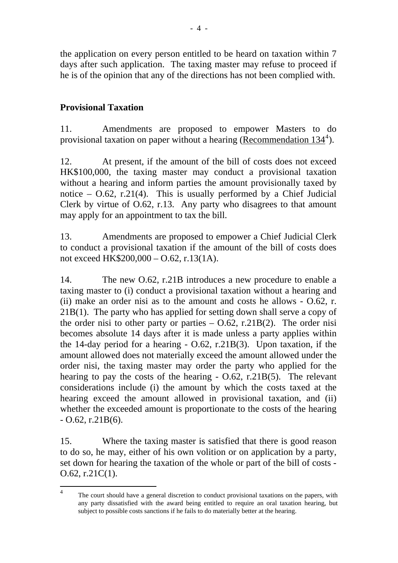the application on every person entitled to be heard on taxation within 7 days after such application. The taxing master may refuse to proceed if he is of the opinion that any of the directions has not been complied with.

# **Provisional Taxation**

11. Amendments are proposed to empower Masters to do provisional taxation on paper without a hearing (Recommendation  $134^4$  $134^4$  $134^4$ ).

12. At present, if the amount of the bill of costs does not exceed HK\$100,000, the taxing master may conduct a provisional taxation without a hearing and inform parties the amount provisionally taxed by notice –  $O.62$ , r.21(4). This is usually performed by a Chief Judicial Clerk by virtue of O.62, r.13. Any party who disagrees to that amount may apply for an appointment to tax the bill.

13. Amendments are proposed to empower a Chief Judicial Clerk to conduct a provisional taxation if the amount of the bill of costs does not exceed HK\$200,000 – O.62, r.13(1A).

14. The new O.62, r.21B introduces a new procedure to enable a taxing master to (i) conduct a provisional taxation without a hearing and (ii) make an order nisi as to the amount and costs he allows - O.62, r. 21B(1). The party who has applied for setting down shall serve a copy of the order nisi to other party or parties  $-$  0.62, r.21B(2). The order nisi becomes absolute 14 days after it is made unless a party applies within the 14-day period for a hearing - O.62, r.21B(3). Upon taxation, if the amount allowed does not materially exceed the amount allowed under the order nisi, the taxing master may order the party who applied for the hearing to pay the costs of the hearing - O.62, r.21B(5). The relevant considerations include (i) the amount by which the costs taxed at the hearing exceed the amount allowed in provisional taxation, and (ii) whether the exceeded amount is proportionate to the costs of the hearing  $-$  O.62, r.21B(6).

15. Where the taxing master is satisfied that there is good reason to do so, he may, either of his own volition or on application by a party, set down for hearing the taxation of the whole or part of the bill of costs - O.62, r.21C(1).

<span id="page-3-0"></span> $\frac{1}{4}$  The court should have a general discretion to conduct provisional taxations on the papers, with any party dissatisfied with the award being entitled to require an oral taxation hearing, but subject to possible costs sanctions if he fails to do materially better at the hearing.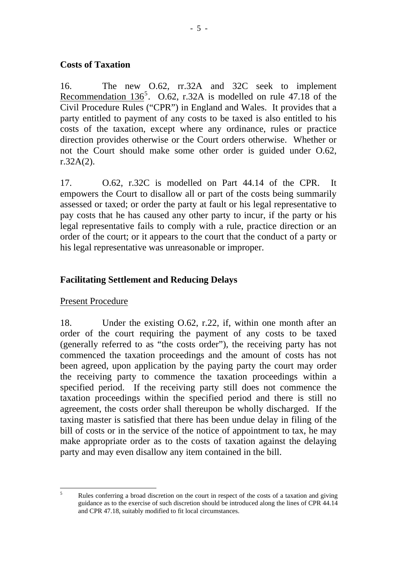### **Costs of Taxation**

16. The new O.62, rr.32A and 32C seek to implement Recommendation  $136^5$  $136^5$ . O.62, r.32A is modelled on rule 47.18 of the Civil Procedure Rules ("CPR") in England and Wales. It provides that a party entitled to payment of any costs to be taxed is also entitled to his costs of the taxation, except where any ordinance, rules or practice direction provides otherwise or the Court orders otherwise. Whether or not the Court should make some other order is guided under O.62,  $r.32A(2)$ .

17. O.62, r.32C is modelled on Part 44.14 of the CPR. It empowers the Court to disallow all or part of the costs being summarily assessed or taxed; or order the party at fault or his legal representative to pay costs that he has caused any other party to incur, if the party or his legal representative fails to comply with a rule, practice direction or an order of the court; or it appears to the court that the conduct of a party or his legal representative was unreasonable or improper.

# **Facilitating Settlement and Reducing Delays**

## Present Procedure

18. Under the existing O.62, r.22, if, within one month after an order of the court requiring the payment of any costs to be taxed (generally referred to as "the costs order"), the receiving party has not commenced the taxation proceedings and the amount of costs has not been agreed, upon application by the paying party the court may order the receiving party to commence the taxation proceedings within a specified period. If the receiving party still does not commence the taxation proceedings within the specified period and there is still no agreement, the costs order shall thereupon be wholly discharged. If the taxing master is satisfied that there has been undue delay in filing of the bill of costs or in the service of the notice of appointment to tax, he may make appropriate order as to the costs of taxation against the delaying party and may even disallow any item contained in the bill.

<span id="page-4-0"></span> $\frac{1}{5}$  Rules conferring a broad discretion on the court in respect of the costs of a taxation and giving guidance as to the exercise of such discretion should be introduced along the lines of CPR 44.14 and CPR 47.18, suitably modified to fit local circumstances.